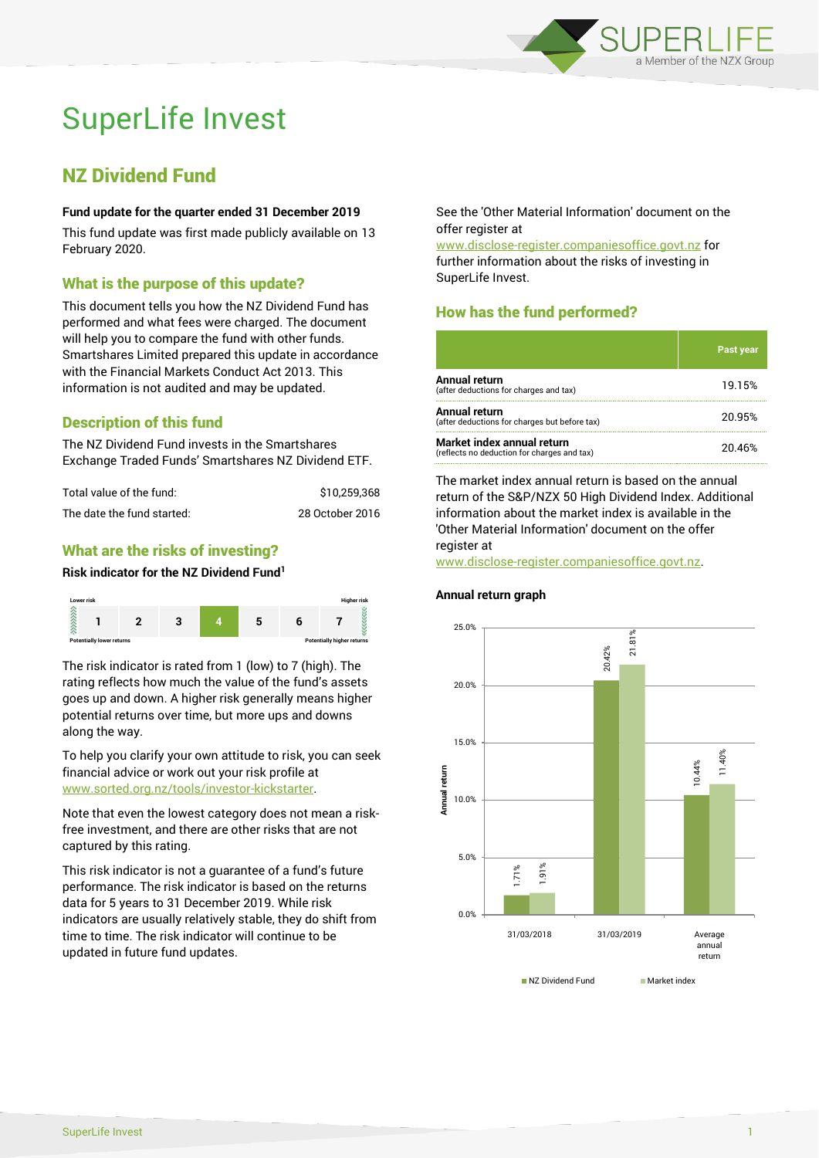

# SuperLife Invest

# NZ Dividend Fund

#### **Fund update for the quarter ended 31 December 2019**

This fund update was first made publicly available on 13 February 2020.

# What is the purpose of this update?

This document tells you how the NZ Dividend Fund has performed and what fees were charged. The document will help you to compare the fund with other funds. Smartshares Limited prepared this update in accordance with the Financial Markets Conduct Act 2013. This information is not audited and may be updated.

# Description of this fund

The NZ Dividend Fund invests in the Smartshares Exchange Traded Funds' Smartshares NZ Dividend ETF.

| Total value of the fund:   | \$10.259.368    |
|----------------------------|-----------------|
| The date the fund started: | 28 October 2016 |

# What are the risks of investing?

#### **Risk indicator for the NZ Dividend Fund<sup>1</sup>**



The risk indicator is rated from 1 (low) to 7 (high). The rating reflects how much the value of the fund's assets goes up and down. A higher risk generally means higher potential returns over time, but more ups and downs along the way.

To help you clarify your own attitude to risk, you can seek financial advice or work out your risk profile at [www.sorted.org.nz/tools/investor-kickstarter.](http://www.sorted.org.nz/tools/investor-kickstarter)

Note that even the lowest category does not mean a riskfree investment, and there are other risks that are not captured by this rating.

This risk indicator is not a guarantee of a fund's future performance. The risk indicator is based on the returns data for 5 years to 31 December 2019. While risk indicators are usually relatively stable, they do shift from time to time. The risk indicator will continue to be updated in future fund updates.

See the 'Other Material Information' document on the offer register at

www.disclose-register.companiesoffice.govt.nz for further information about the risks of investing in SuperLife Invest.

# How has the fund performed?

|                                                                           | <b>Past year</b> |
|---------------------------------------------------------------------------|------------------|
| <b>Annual return</b><br>(after deductions for charges and tax)            | 19.15%           |
| Annual return<br>(after deductions for charges but before tax)            | 20.95%           |
| Market index annual return<br>(reflects no deduction for charges and tax) | 20.46%           |

The market index annual return is based on the annual return of the S&P/NZX 50 High Dividend Index. Additional information about the market index is available in the 'Other Material Information' document on the offer register at

www.disclose-register.companiesoffice.govt.nz.

#### **Annual return graph**

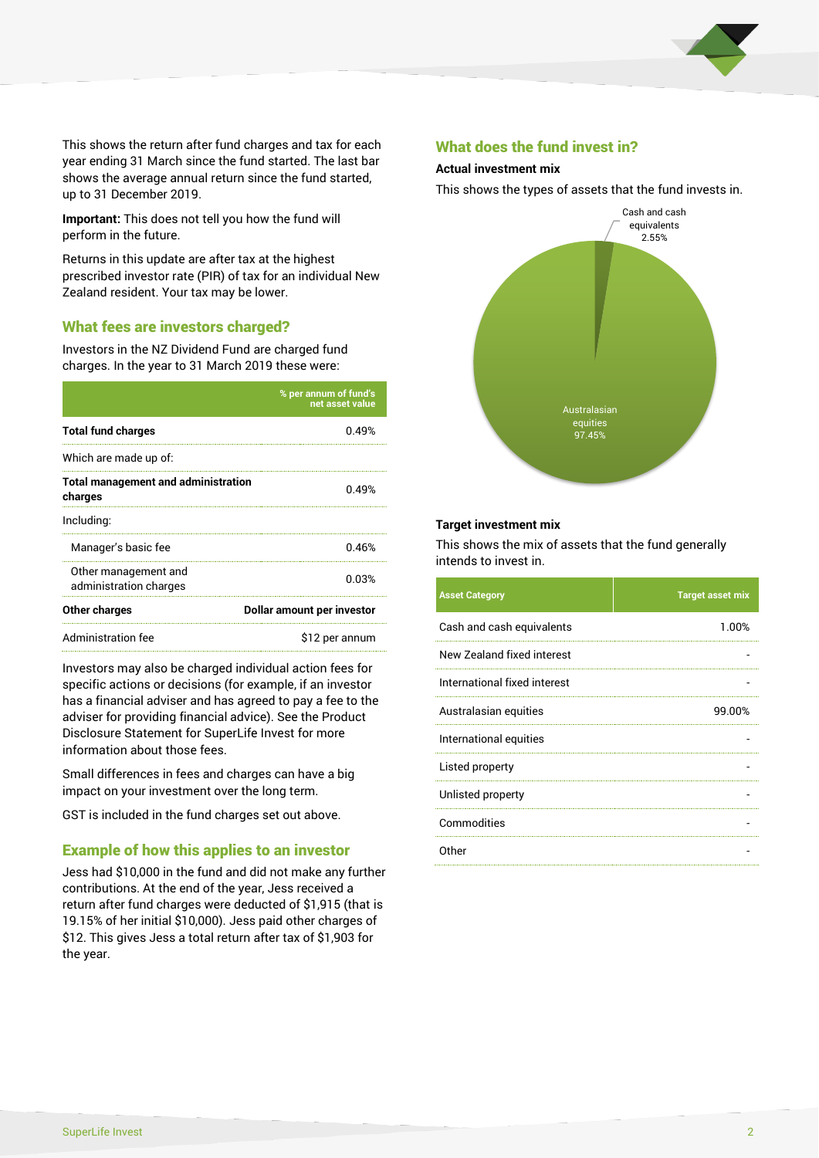

This shows the return after fund charges and tax for each year ending 31 March since the fund started. The last bar shows the average annual return since the fund started, up to 31 December 2019.

**Important:** This does not tell you how the fund will perform in the future.

Returns in this update are after tax at the highest prescribed investor rate (PIR) of tax for an individual New Zealand resident. Your tax may be lower.

## What fees are investors charged?

Investors in the NZ Dividend Fund are charged fund charges. In the year to 31 March 2019 these were:

|                                                       | % per annum of fund's<br>net asset value |  |
|-------------------------------------------------------|------------------------------------------|--|
| <b>Total fund charges</b>                             | በ 49%                                    |  |
| Which are made up of:                                 |                                          |  |
| <b>Total management and administration</b><br>charges | 0.49%                                    |  |
| Including:                                            |                                          |  |
| Manager's basic fee                                   | 0.46%                                    |  |
| Other management and<br>administration charges        | 0.03%                                    |  |
| Other charges                                         | Dollar amount per investor               |  |
| Administration fee                                    | \$12 per annum                           |  |

Investors may also be charged individual action fees for specific actions or decisions (for example, if an investor has a financial adviser and has agreed to pay a fee to the adviser for providing financial advice). See the Product Disclosure Statement for SuperLife Invest for more information about those fees.

Small differences in fees and charges can have a big impact on your investment over the long term.

GST is included in the fund charges set out above.

## Example of how this applies to an investor

Jess had \$10,000 in the fund and did not make any further contributions. At the end of the year, Jess received a return after fund charges were deducted of \$1,915 (that is 19.15% of her initial \$10,000). Jess paid other charges of \$12. This gives Jess a total return after tax of \$1,903 for the year.

#### What does the fund invest in?

#### **Actual investment mix**

This shows the types of assets that the fund invests in.



#### **Target investment mix**

This shows the mix of assets that the fund generally intends to invest in.

| <b>Asset Category</b>        | <b>Target asset mix</b> |
|------------------------------|-------------------------|
| Cash and cash equivalents    | 1.00%                   |
| New Zealand fixed interest   |                         |
| International fixed interest |                         |
| Australasian equities        | 99.00%                  |
| International equities       |                         |
| Listed property              |                         |
| Unlisted property            |                         |
| Commodities                  |                         |
| Other                        |                         |